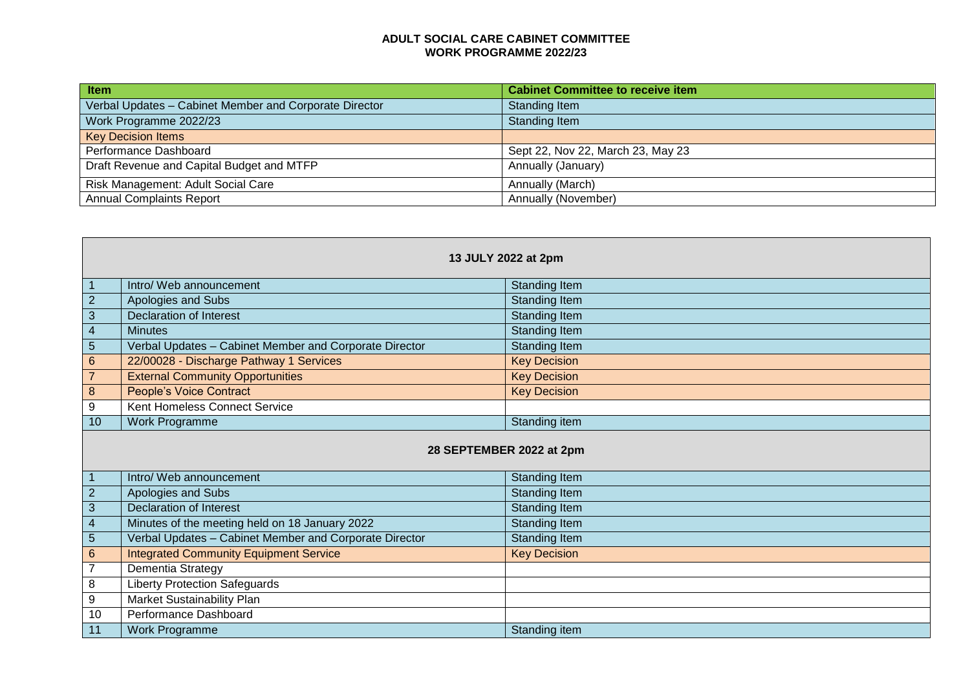## **ADULT SOCIAL CARE CABINET COMMITTEE WORK PROGRAMME 2022/23**

| <b>Item</b>                                            | <b>Cabinet Committee to receive item</b> |
|--------------------------------------------------------|------------------------------------------|
| Verbal Updates - Cabinet Member and Corporate Director | Standing Item                            |
| Work Programme 2022/23                                 | Standing Item                            |
| <b>Key Decision Items</b>                              |                                          |
| Performance Dashboard                                  | Sept 22, Nov 22, March 23, May 23        |
| Draft Revenue and Capital Budget and MTFP              | Annually (January)                       |
| Risk Management: Adult Social Care                     | Annually (March)                         |
| <b>Annual Complaints Report</b>                        | Annually (November)                      |

| 13 JULY 2022 at 2pm      |                                                        |                      |  |
|--------------------------|--------------------------------------------------------|----------------------|--|
| $\mathbf{1}$             | Intro/ Web announcement                                | <b>Standing Item</b> |  |
| $\overline{2}$           | Apologies and Subs                                     | <b>Standing Item</b> |  |
| $\mathbf{3}$             | <b>Declaration of Interest</b>                         | <b>Standing Item</b> |  |
| $\overline{4}$           | <b>Minutes</b>                                         | <b>Standing Item</b> |  |
| 5                        | Verbal Updates - Cabinet Member and Corporate Director | <b>Standing Item</b> |  |
| $\,6\,$                  | 22/00028 - Discharge Pathway 1 Services                | <b>Key Decision</b>  |  |
| $\overline{7}$           | <b>External Community Opportunities</b>                | <b>Key Decision</b>  |  |
| $\bf 8$                  | <b>People's Voice Contract</b>                         | <b>Key Decision</b>  |  |
| 9                        | Kent Homeless Connect Service                          |                      |  |
| 10                       | <b>Work Programme</b>                                  | <b>Standing item</b> |  |
| 28 SEPTEMBER 2022 at 2pm |                                                        |                      |  |
| $\mathbf 1$              | Intro/ Web announcement                                | Standing Item        |  |
| $\overline{2}$           | Apologies and Subs                                     | Standing Item        |  |
| 3                        | <b>Declaration of Interest</b>                         | Standing Item        |  |
| $\overline{4}$           | Minutes of the meeting held on 18 January 2022         | <b>Standing Item</b> |  |
| 5                        | Verbal Updates - Cabinet Member and Corporate Director | <b>Standing Item</b> |  |
| $\,6\,$                  | <b>Integrated Community Equipment Service</b>          | <b>Key Decision</b>  |  |
| $\overline{7}$           | Dementia Strategy                                      |                      |  |
| 8                        | <b>Liberty Protection Safeguards</b>                   |                      |  |
| $\boldsymbol{9}$         | Market Sustainability Plan                             |                      |  |
| 10                       | Performance Dashboard                                  |                      |  |
| 11                       | Work Programme                                         | Standing item        |  |